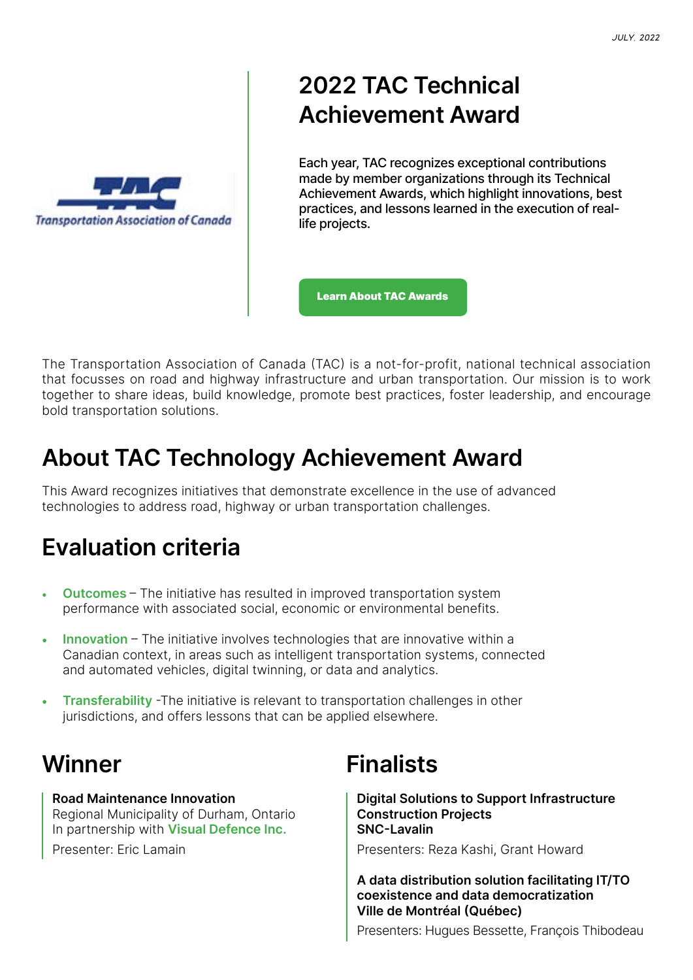

# **2022 TAC Technical Achievement Award**

Each year, TAC recognizes exceptional contributions made by member organizations through its Technical Achievement Awards, which highlight innovations, best practices, and lessons learned in the execution of reallife projects.

[Learn About TAC Awards](https://www.tac-atc.ca/en/about-tac/awards)

The Transportation Association of Canada (TAC) is a not-for-profit, national technical association that focusses on road and highway infrastructure and urban transportation. Our mission is to work together to share ideas, build knowledge, promote best practices, foster leadership, and encourage bold transportation solutions.

## **About TAC Technology Achievement Award**

This Award recognizes initiatives that demonstrate excellence in the use of advanced technologies to address road, highway or urban transportation challenges.

# **Evaluation criteria**

- **Outcomes** The initiative has resulted in improved transportation system performance with associated social, economic or environmental benefits.
- **Innovation** The initiative involves technologies that are innovative within a Canadian context, in areas such as intelligent transportation systems, connected and automated vehicles, digital twinning, or data and analytics.
- **Transferability** -The initiative is relevant to transportation challenges in other jurisdictions, and offers lessons that can be applied elsewhere.

### **Winner**

**Road Maintenance Innovation** Regional Municipality of Durham, Ontario In partnership with **Visual Defence Inc.** Presenter: Eric Lamain

# **Finalists**

**Digital Solutions to Support Infrastructure Construction Projects SNC-Lavalin**

Presenters: Reza Kashi, Grant Howard

**A data distribution solution facilitating IT/TO coexistence and data democratization Ville de Montréal (Québec)**

Presenters: Hugues Bessette, François Thibodeau